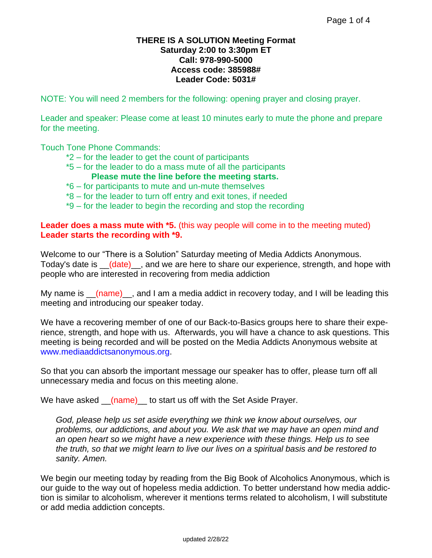### **THERE IS A SOLUTION Meeting Format Saturday 2:00 to 3:30pm ET Call: 978-990-5000 Access code: 385988# Leader Code: 5031#**

NOTE: You will need 2 members for the following: opening prayer and closing prayer.

Leader and speaker: Please come at least 10 minutes early to mute the phone and prepare for the meeting.

Touch Tone Phone Commands:

- \*2 for the leader to get the count of participants
- \*5 for the leader to do a mass mute of all the participants **Please mute the line before the meeting starts.**
- \*6 for participants to mute and un-mute themselves
- \*8 for the leader to turn off entry and exit tones, if needed
- \*9 for the leader to begin the recording and stop the recording

## **Leader does a mass mute with \*5.** (this way people will come in to the meeting muted) **Leader starts the recording with \*9.**

Welcome to our "There is a Solution" Saturday meeting of Media Addicts Anonymous. Today's date is  $_l$  (date), and we are here to share our experience, strength, and hope with people who are interested in recovering from media addiction

My name is  $(mam)$ , and I am a media addict in recovery today, and I will be leading this meeting and introducing our speaker today.

We have a recovering member of one of our Back-to-Basics groups here to share their experience, strength, and hope with us. Afterwards, you will have a chance to ask questions. This meeting is being recorded and will be posted on the Media Addicts Anonymous website at [www.mediaaddictsanonymous.org.](http://www.mediaaddictsanonymous.org/)

So that you can absorb the important message our speaker has to offer, please turn off all unnecessary media and focus on this meeting alone.

We have asked (name) to start us off with the Set Aside Prayer.

*God, please help us set aside everything we think we know about ourselves, our problems, our addictions, and about you. We ask that we may have an open mind and an open heart so we might have a new experience with these things. Help us to see the truth, so that we might learn to live our lives on a spiritual basis and be restored to sanity. Amen.*

We begin our meeting today by reading from the Big Book of Alcoholics Anonymous, which is our guide to the way out of hopeless media addiction. To better understand how media addiction is similar to alcoholism, wherever it mentions terms related to alcoholism, I will substitute or add media addiction concepts.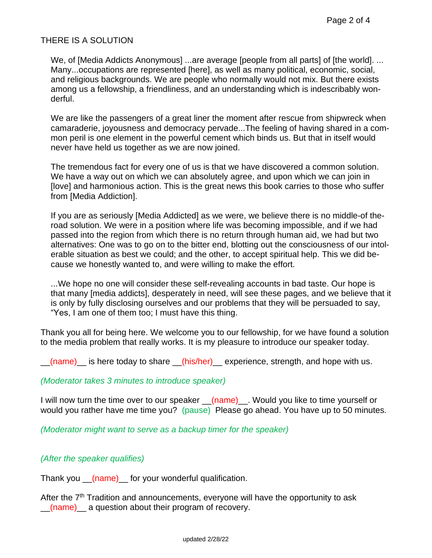# THERE IS A SOLUTION

We, of [Media Addicts Anonymous] ...are average [people from all parts] of [the world]. ... Many...occupations are represented [here], as well as many political, economic, social, and religious backgrounds. We are people who normally would not mix. But there exists among us a fellowship, a friendliness, and an understanding which is indescribably wonderful.

We are like the passengers of a great liner the moment after rescue from shipwreck when camaraderie, joyousness and democracy pervade...The feeling of having shared in a common peril is one element in the powerful cement which binds us. But that in itself would never have held us together as we are now joined.

The tremendous fact for every one of us is that we have discovered a common solution. We have a way out on which we can absolutely agree, and upon which we can join in [love] and harmonious action. This is the great news this book carries to those who suffer from [Media Addiction].

If you are as seriously [Media Addicted] as we were, we believe there is no middle-of theroad solution. We were in a position where life was becoming impossible, and if we had passed into the region from which there is no return through human aid, we had but two alternatives: One was to go on to the bitter end, blotting out the consciousness of our intolerable situation as best we could; and the other, to accept spiritual help. This we did because we honestly wanted to, and were willing to make the effort.

...We hope no one will consider these self-revealing accounts in bad taste. Our hope is that many [media addicts], desperately in need, will see these pages, and we believe that it is only by fully disclosing ourselves and our problems that they will be persuaded to say, "Yes, I am one of them too; I must have this thing.

Thank you all for being here. We welcome you to our fellowship, for we have found a solution to the media problem that really works. It is my pleasure to introduce our speaker today.

 $(name)$  is here today to share  $(nis/her)$  experience, strength, and hope with us.

# *(Moderator takes 3 minutes to introduce speaker)*

I will now turn the time over to our speaker  $(name)$ . Would you like to time yourself or would you rather have me time you? (pause) Please go ahead. You have up to 50 minutes.

*(Moderator might want to serve as a backup timer for the speaker)*

# *(After the speaker qualifies)*

Thank you \_\_(name) \_\_ for your wonderful qualification.

After the 7<sup>th</sup> Tradition and announcements, everyone will have the opportunity to ask  $(name)$  a question about their program of recovery.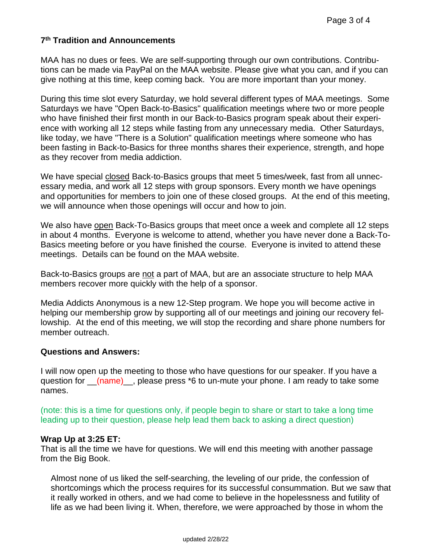### **7 th Tradition and Announcements**

MAA has no dues or fees. We are self-supporting through our own contributions. Contributions can be made via PayPal on the MAA website. Please give what you can, and if you can give nothing at this time, keep coming back. You are more important than your money.

During this time slot every Saturday, we hold several different types of MAA meetings. Some Saturdays we have "Open Back-to-Basics" qualification meetings where two or more people who have finished their first month in our Back-to-Basics program speak about their experience with working all 12 steps while fasting from any unnecessary media. Other Saturdays, like today, we have "There is a Solution" qualification meetings where someone who has been fasting in Back-to-Basics for three months shares their experience, strength, and hope as they recover from media addiction.

We have special closed Back-to-Basics groups that meet 5 times/week, fast from all unnecessary media, and work all 12 steps with group sponsors. Every month we have openings and opportunities for members to join one of these closed groups. At the end of this meeting, we will announce when those openings will occur and how to join.

We also have open Back-To-Basics groups that meet once a week and complete all 12 steps in about 4 months. Everyone is welcome to attend, whether you have never done a Back-To-Basics meeting before or you have finished the course. Everyone is invited to attend these meetings. Details can be found on the MAA website.

Back-to-Basics groups are not a part of MAA, but are an associate structure to help MAA members recover more quickly with the help of a sponsor.

Media Addicts Anonymous is a new 12-Step program. We hope you will become active in helping our membership grow by supporting all of our meetings and joining our recovery fellowship. At the end of this meeting, we will stop the recording and share phone numbers for member outreach.

#### **Questions and Answers:**

I will now open up the meeting to those who have questions for our speaker. If you have a question for  $(\text{name})$ , please press \*6 to un-mute your phone. I am ready to take some names.

(note: this is a time for questions only, if people begin to share or start to take a long time leading up to their question, please help lead them back to asking a direct question)

#### **Wrap Up at 3:25 ET:**

That is all the time we have for questions. We will end this meeting with another passage from the Big Book.

Almost none of us liked the self-searching, the leveling of our pride, the confession of shortcomings which the process requires for its successful consummation. But we saw that it really worked in others, and we had come to believe in the hopelessness and futility of life as we had been living it. When, therefore, we were approached by those in whom the